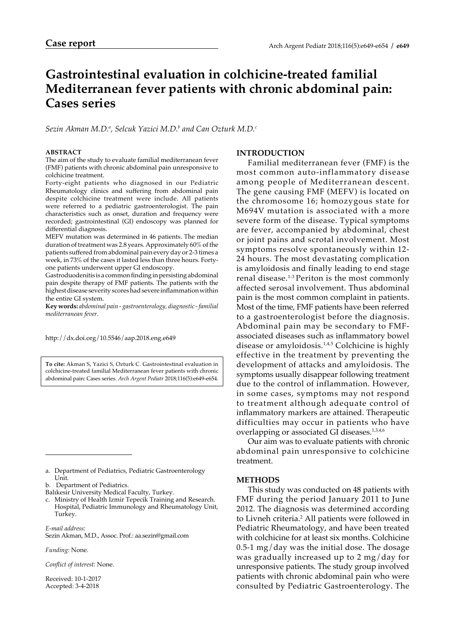# **Gastrointestinal evaluation in colchicine-treated familial Mediterranean fever patients with chronic abdominal pain: Cases series**

*Sezin Akman M.D.a , Selcuk Yazici M.D.b and Can Ozturk M.D.c*

#### **ABSTRACT**

The aim of the study to evaluate familial mediterranean fever (FMF) patients with chronic abdominal pain unresponsive to colchicine treatment.

Forty-eight patients who diagnosed in our Pediatric Rheumatology clinics and suffering from abdominal pain despite colchicine treatment were include. All patients were referred to a pediatric gastroenterologist. The pain characteristics such as onset, duration and frequency were recorded; gastrointestinal (GI) endoscopy was planned for differential diagnosis.

MEFV mutation was determined in 46 patients. The median duration of treatment was 2.8 years. Approximately 60% of the patients suffered from abdominal pain every day or 2-3 times a week, in 73% of the cases it lasted less than three hours. Fortyone patients underwent upper GI endoscopy.

Gastroduodenitis is a common finding in persisting abdominal pain despite therapy of FMF patients. The patients with the highest disease severity scores had severe inflammation within the entire GI system.

**Key words:** *abdominal pain - gastroenterology, diagnostic - familial mediterranean fever.*

http://dx.doi.org/10.5546/aap.2018.eng.e649

**To cite:** Akman S, Yazici S, Ozturk C. Gastrointestinal evaluation in colchicine-treated familial Mediterranean fever patients with chronic abdominal pain: Cases series. *Arch Argent Pediatr* 2018;116(5):e649-e654.

*E-mail address:* Sezin Akman, M.D., Assoc. Prof.: aa.sezin@gmail.com

*Funding:* None.

*Conflict of interest:* None.

Received: 10-1-2017 Accepted: 3-4-2018

# **INTRODUCTION**

Familial mediterranean fever (FMF) is the most common auto-inflammatory disease among people of Mediterranean descent. The gene causing FMF (MEFV) is located on the chromosome 16; homozygous state for M694V mutation is associated with a more severe form of the disease. Typical symptoms are fever, accompanied by abdominal, chest or joint pains and scrotal involvement. Most symptoms resolve spontaneously within 12- 24 hours. The most devastating complication is amyloidosis and finally leading to end stage renal disease.1-3 Periton is the most commonly affected serosal involvement. Thus abdominal pain is the most common complaint in patients. Most of the time, FMF patients have been referred to a gastroenterologist before the diagnosis. Abdominal pain may be secondary to FMFassociated diseases such as inflammatory bowel disease or amyloidosis.1,4,5 Colchicine is highly effective in the treatment by preventing the development of attacks and amyloidosis. The symptoms usually disappear following treatment due to the control of inflammation. However, in some cases, symptoms may not respond to treatment although adequate control of inflammatory markers are attained. Therapeutic difficulties may occur in patients who have overlapping or associated GI diseases.<sup>1,3,4,6</sup>

Our aim was to evaluate patients with chronic abdominal pain unresponsive to colchicine treatment.

#### **METHODS**

This study was conducted on 48 patients with FMF during the period January 2011 to June 2012. The diagnosis was determined according to Livneh criteria.<sup>2</sup> All patients were followed in Pediatric Rheumatology, and have been treated with colchicine for at least six months. Colchicine 0.5-1 mg/day was the initial dose. The dosage was gradually increased up to 2 mg/day for unresponsive patients. The study group involved patients with chronic abdominal pain who were consulted by Pediatric Gastroenterology. The

a. Department of Pediatrics, Pediatric Gastroenterology Unit.

b. Department of Pediatrics.

Balıkesir University Medical Faculty, Turkey.

c. Ministry of Health Izmir Tepecik Training and Research. Hospital, Pediatric Immunology and Rheumatology Unit, Turkey.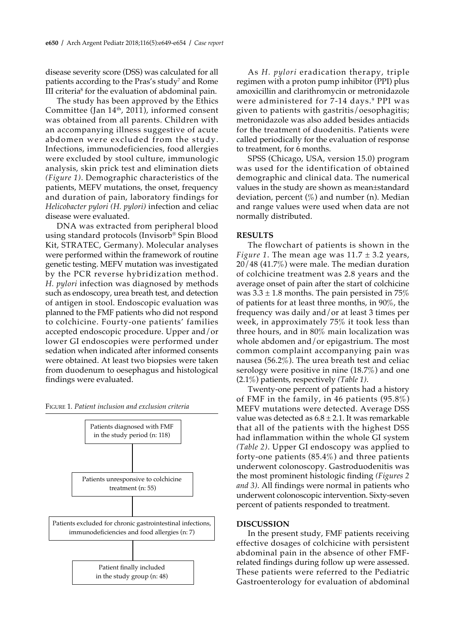disease severity score (DSS) was calculated for all patients according to the Pras's study<sup>7</sup> and Rome III criteria<sup>s</sup> for the evaluation of abdominal pain.

The study has been approved by the Ethics Committee (Jan 14th, 2011), informed consent was obtained from all parents. Children with an accompanying illness suggestive of acute abdomen were excluded from the study. Infections, immunodeficiencies, food allergies were excluded by stool culture, immunologic analysis, skin prick test and elimination diets *(Figure 1)*. Demographic characteristics of the patients, MEFV mutations, the onset, frequency and duration of pain, laboratory findings for *Helicobacter pylori (H. pylori)* infection and celiac disease were evaluated.

DNA was extracted from peripheral blood using standard protocols (Invisorb® Spin Blood Kit, STRATEC, Germany). Molecular analyses were performed within the framework of routine genetic testing. MEFV mutation was investigated by the PCR reverse hybridization method. *H. pylori* infection was diagnosed by methods such as endoscopy, urea breath test, and detection of antigen in stool. Endoscopic evaluation was planned to the FMF patients who did not respond to colchicine. Fourty-one patients' families accepted endoscopic procedure. Upper and/or lower GI endoscopies were performed under sedation when indicated after informed consents were obtained. At least two biopsies were taken from duodenum to oesephagus and histological findings were evaluated.





As *H. pylori* eradication therapy, triple regimen with a proton pump inhibitor (PPI) plus amoxicillin and clarithromycin or metronidazole were administered for 7-14 days.<sup>9</sup> PPI was given to patients with gastritis/oesophagitis; metronidazole was also added besides antiacids for the treatment of duodenitis. Patients were called periodically for the evaluation of response to treatment, for 6 months.

SPSS (Chicago, USA, version 15.0) program was used for the identification of obtained demographic and clinical data. The numerical values in the study are shown as mean±standard deviation, percent  $(\%)$  and number (n). Median and range values were used when data are not normally distributed.

#### **RESULTS**

The flowchart of patients is shown in the *Figure 1*. The mean age was  $11.7 \pm 3.2$  years, 20/48 (41.7%) were male. The median duration of colchicine treatment was 2.8 years and the average onset of pain after the start of colchicine was  $3.3 \pm 1.8$  months. The pain persisted in 75% of patients for at least three months, in 90%, the frequency was daily and/or at least 3 times per week, in approximately 75% it took less than three hours, and in 80% main localization was whole abdomen and/or epigastrium. The most common complaint accompanying pain was nausea (56.2%). The urea breath test and celiac serology were positive in nine (18.7%) and one (2.1%) patients, respectively *(Table 1)*.

Twenty-one percent of patients had a history of FMF in the family, in 46 patients (95.8%) MEFV mutations were detected. Average DSS value was detected as  $6.8 \pm 2.1$ . It was remarkable that all of the patients with the highest DSS had inflammation within the whole GI system *(Table 2)*. Upper GI endoscopy was applied to forty-one patients (85.4%) and three patients underwent colonoscopy. Gastroduodenitis was the most prominent histologic finding *(Figures 2 and 3)*. All findings were normal in patients who underwent colonoscopic intervention. Sixty-seven percent of patients responded to treatment.

#### **DISCUSSION**

In the present study, FMF patients receiving effective dosages of colchicine with persistent abdominal pain in the absence of other FMFrelated findings during follow up were assessed. These patients were referred to the Pediatric Gastroenterology for evaluation of abdominal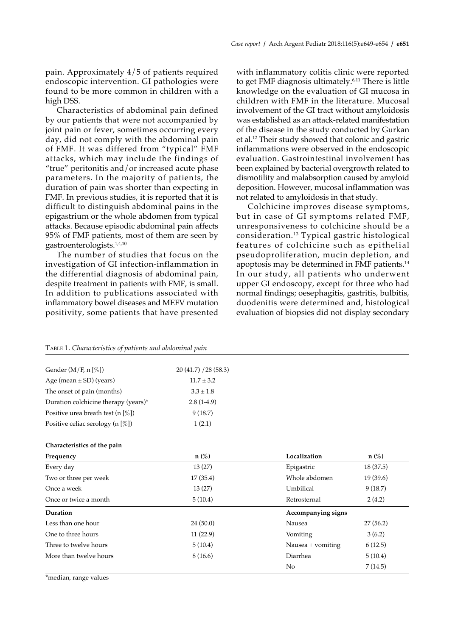pain. Approximately 4/5 of patients required endoscopic intervention. GI pathologies were found to be more common in children with a high DSS.

Characteristics of abdominal pain defined by our patients that were not accompanied by joint pain or fever, sometimes occurring every day, did not comply with the abdominal pain of FMF. It was differed from "typical" FMF attacks, which may include the findings of "true" peritonitis and/or increased acute phase parameters. In the majority of patients, the duration of pain was shorter than expecting in FMF. In previous studies, it is reported that it is difficult to distinguish abdominal pains in the epigastrium or the whole abdomen from typical attacks. Because episodic abdominal pain affects 95% of FMF patients, most of them are seen by gastroenterologists.1,4,10

The number of studies that focus on the investigation of GI infection-inflammation in the differential diagnosis of abdominal pain, despite treatment in patients with FMF, is small. In addition to publications associated with inflammatory bowel diseases and MEFV mutation positivity, some patients that have presented with inflammatory colitis clinic were reported to get FMF diagnosis ultimately.6,11 There is little knowledge on the evaluation of GI mucosa in children with FMF in the literature. Mucosal involvement of the GI tract without amyloidosis was established as an attack-related manifestation of the disease in the study conducted by Gurkan et al.12 Their study showed that colonic and gastric inflammations were observed in the endoscopic evaluation. Gastrointestinal involvement has been explained by bacterial overgrowth related to dismotility and malabsorption caused by amyloid deposition. However, mucosal inflammation was not related to amyloidosis in that study.

Colchicine improves disease symptoms, but in case of GI symptoms related FMF, unresponsiveness to colchicine should be a consideration.<sup>13</sup> Typical gastric histological features of colchicine such as epithelial pseudoproliferation, mucin depletion, and apoptosis may be determined in FMF patients.14 In our study, all patients who underwent upper GI endoscopy, except for three who had normal findings; oesephagitis, gastritis, bulbitis, duodenitis were determined and, histological evaluation of biopsies did not display secondary

| 20(41.7)/28(58.3) |
|-------------------|
| $11.7 \pm 3.2$    |
| $3.3 \pm 1.8$     |
| $2.8(1-4.9)$      |
| 9(18.7)           |
| 1(2.1)            |
|                   |

Table 1. *Characteristics of patients and abdominal pain* 

| Frequency              | $n(\%)$  | Localization        | $n(\%)$<br>18(37.5) |  |
|------------------------|----------|---------------------|---------------------|--|
| Every day              | 13(27)   | Epigastric          |                     |  |
| Two or three per week  | 17(35.4) | Whole abdomen       | 19(39.6)            |  |
| Once a week            | 13(27)   | Umbilical           | 9(18.7)             |  |
| Once or twice a month  | 5(10.4)  | Retrosternal        | 2(4.2)              |  |
| Duration               |          | Accompanying signs  |                     |  |
| Less than one hour     | 24(50.0) | Nausea              | 27(56.2)            |  |
| One to three hours     | 11(22.9) | Vomiting            | 3(6.2)              |  |
| Three to twelve hours  | 5(10.4)  | Nausea $+$ vomiting | 6(12.5)             |  |
| More than twelve hours | 8(16.6)  | Diarrhea            | 5(10.4)             |  |
|                        |          | No                  | 7(14.5)             |  |

\*median, range values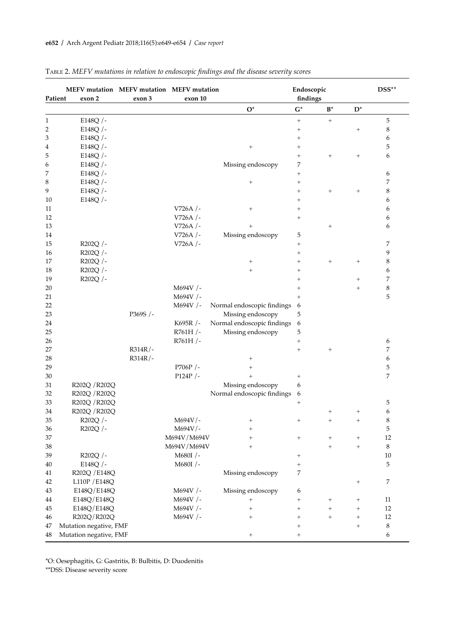| Patient | MEFV mutation MEFV mutation MEFV mutation<br>exon 2 | exon 3    | exon 10     |                            | Endoscopic<br>findings           |              |                | DSS**            |
|---------|-----------------------------------------------------|-----------|-------------|----------------------------|----------------------------------|--------------|----------------|------------------|
|         |                                                     |           |             | $O^*$                      | $\mathbf{G}^*$                   | $B^*$        | $D^*$          |                  |
| 1       | E148Q /-                                            |           |             |                            | $\! + \!\!\!\!$                  | $^{+}$       |                | 5                |
| 2       | E148Q /-                                            |           |             |                            | $^{+}$                           |              | $\overline{+}$ | 8                |
| 3       | E148Q /-                                            |           |             |                            | $^{+}$                           |              |                | 6                |
| 4       | E148Q /-                                            |           |             | $^+$                       | $^{+}$                           |              |                | 5                |
| 5       | E148Q /-                                            |           |             |                            | $^{+}$                           | $^+$         | $^{+}$         | 6                |
| 6       | E148Q /-                                            |           |             | Missing endoscopy          | 7                                |              |                |                  |
| 7       | E148Q $/$ -                                         |           |             |                            | $^{+}$                           |              |                | 6                |
| 8       | E148Q $/$ -                                         |           |             | $^{+}$                     | $^{+}$                           |              |                | 7                |
| 9       | E148Q /-                                            |           |             |                            | $^{+}$                           | $^{+}$       | $^{+}$         | 8                |
| 10      | E148Q $/$ -                                         |           |             |                            | $^{+}$                           |              |                | 6                |
| 11      |                                                     |           | V726A $/$ - | $^{+}$                     | $^+$                             |              |                | 6                |
| 12      |                                                     |           | V726A /-    |                            | $\! + \!\!\!\!$                  |              |                | 6                |
| 13      |                                                     |           | V726A /-    | $^{+}$                     |                                  | $^{+}$       |                | 6                |
| 14      |                                                     |           | V726A /-    | Missing endoscopy          | 5                                |              |                |                  |
| 15      | R202Q /-                                            |           | V726A /-    |                            | $\! + \!\!\!\!$                  |              |                | 7                |
| 16      | R202Q /-                                            |           |             |                            | $^{+}$                           |              |                | 9                |
| 17      | R202Q /-                                            |           |             | $^{+}$                     | $^{+}$                           | $^+$         | $\overline{+}$ | 8                |
| 18      | R202Q /-                                            |           |             | $^{+}$                     | $\! +$                           |              |                | 6                |
| 19      | R202Q /-                                            |           |             |                            | $^{+}$                           |              | $\overline{+}$ | 7                |
| 20      |                                                     |           | M694V /-    |                            | $^+$                             |              | $^{+}$         | 8                |
| 21      |                                                     |           | M694V /-    |                            | $^{+}$                           |              |                | 5                |
| 22      |                                                     |           | M694V $/-$  | Normal endoscopic findings | 6                                |              |                |                  |
| 23      |                                                     | P369S /-  |             | Missing endoscopy          | 5                                |              |                |                  |
| 24      |                                                     |           | K695R $/-$  | Normal endoscopic findings | 6                                |              |                |                  |
| 25      |                                                     |           | R761H/      | Missing endoscopy          | 5                                |              |                |                  |
| 26      |                                                     |           | R761H /-    |                            | $^{+}$                           |              |                | 6                |
| 27      |                                                     | $R314R/-$ |             |                            | $^{+}$                           | $^{+}$       |                | 7                |
| 28      |                                                     | $R314R/-$ |             | $^+$                       |                                  |              |                | 6                |
| 29      |                                                     |           | P706P /-    | $^{+}$                     |                                  |              |                | 5                |
| 30      |                                                     |           | P124P /-    | $^{+}$                     | $\! +$                           |              |                | 7                |
| 31      | R202Q / R202Q                                       |           |             | Missing endoscopy          | 6                                |              |                |                  |
| 32      | R202Q / R202Q                                       |           |             | Normal endoscopic findings | 6                                |              |                |                  |
| 33      | R202Q / R202Q                                       |           |             |                            | $^{+}$                           |              |                | 5                |
| 34      | R202Q / R202Q                                       |           |             |                            |                                  | $\,{}^{+}\,$ | $^+$           | 6                |
| 35      | R202Q /-                                            |           | $M694V/-$   | $\,{}^{+}\,$               | $^{+}$                           | $^{+}$       | $^{+}$         | 8                |
| 36      | R202Q /-                                            |           | $M694V/-$   | $\,{}^{+}\,$               |                                  |              |                | 5                |
| 37      |                                                     |           | M694V/M694V |                            |                                  |              |                | 12               |
| 38      |                                                     |           | M694V/M694V | $^{+}$                     |                                  | $^{+}$       | $^{+}$         | 8                |
| 39      | R202Q /-                                            |           | M680I /-    |                            | $\begin{array}{c} + \end{array}$ |              |                | 10               |
| 40      | E148Q /-                                            |           | M680I /-    |                            | $^+$                             |              |                | 5                |
| 41      | R202Q / E148Q                                       |           |             | Missing endoscopy          | 7                                |              |                |                  |
| 42      | L110P / E148Q                                       |           |             |                            |                                  |              | $^{+}$         | $\boldsymbol{7}$ |
| 43      | E148Q/E148Q                                         |           | M694V /-    | Missing endoscopy          | 6                                |              |                |                  |
| 44      | E148Q/E148Q                                         |           | M694V /-    | $\qquad \qquad +$          | $^{+}$                           | $^{+}$       | $^{+}$         | 11               |
| 45      | E148Q/E148Q                                         |           | M694V /-    | $^{+}$                     | $\begin{array}{c} + \end{array}$ | $^{+}$       | $^{+}$         | 12               |
| 46      | R202Q/R202Q                                         |           | M694V $/$ - | $^{+}$                     | $\qquad \qquad +$                | $^{+}$       | $^{+}$         | 12               |
| 47      | Mutation negative, FMF                              |           |             |                            | $\! + \!$                        |              | $^{+}$         | $\,8\,$          |
| 48      | Mutation negative, FMF                              |           |             | $^{+}$                     | $\qquad \qquad +$                |              |                | 6                |

# Table 2. *MEFV mutations in relation to endoscopic findings and the disease severity scores*

\*O: Oesephagitis, G: Gastritis, B: Bulbitis, D: Duodenitis

\*\*DSS: Disease severity score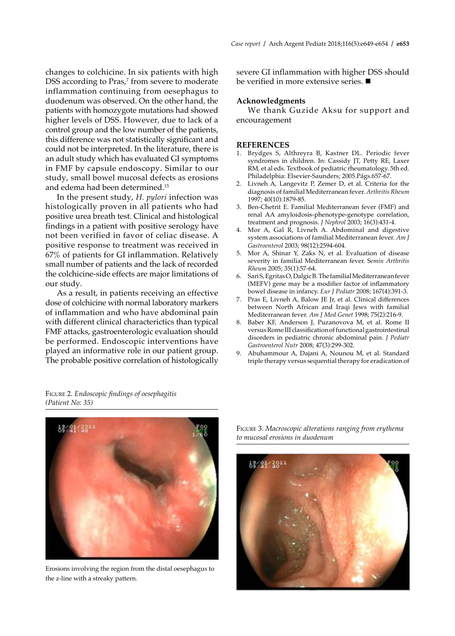changes to colchicine. In six patients with high DSS according to Pras,<sup>7</sup> from severe to moderate inflammation continuing from oesephagus to duodenum was observed. On the other hand, the patients with homozygote mutations had showed higher levels of DSS. However, due to lack of a control group and the low number of the patients, this difference was not statistically significant and could not be interpreted. In the literature, there is an adult study which has evaluated GI symptoms in FMF by capsule endoscopy. Similar to our study, small bowel mucosal defects as erosions and edema had been determined.15

In the present study, *H. pylori* infection was histologically proven in all patients who had positive urea breath test. Clinical and histological findings in a patient with positive serology have not been verified in favor of celiac disease. A positive response to treatment was received in 67% of patients for GI inflammation. Relatively small number of patients and the lack of recorded the colchicine-side effects are major limitations of our study.

As a result, in patients receiving an effective dose of colchicine with normal laboratory markers of inflammation and who have abdominal pain with different clinical characterictics than typical FMF attacks, gastroenterologic evaluation should be performed. Endoscopic interventions have played an informative role in our patient group. The probable positive correlation of histologically severe GI inflammation with higher DSS should be verified in more extensive series.  $\blacksquare$ 

## **Acknowledgments**

We thank Guzide Aksu for support and encouragement

### **REFERENCES**

- 1. Brydges S, Althreyra B, Kastner DL. Periodic fever syndromes in children. In: Cassidy JT, Petty RE, Laxer RM, et al eds. Textbook of pediatric rheumatology. 5th ed. Philadelphia: Elsevier-Saunders; 2005.Págs.657-67.
- 2. Livneh A, Langevitz P, Zemer D, et al. Criteria for the diagnosis of familial Mediterranean fever. *Arthritis Rheum*  1997; 40(10):1879-85.
- 3. Ben-Chetrit E. Familial Mediterranean fever (FMF) and renal AA amyloidosis-phenotype-genotype correlation, treatment and prognosis. *J Nephrol* 2003; 16(3):431-4.
- 4. Mor A, Gal R, Livneh A. Abdominal and digestive system associations of familial Mediterranean fever. *Am J Gastroenterol* 2003; 98(12):2594-604.
- 5. Mor A, Shinar Y, Zaks N, et al. Evaluation of disease severity in familial Mediterranean fever. S*emin Arthritis Rheum* 2005; 35(1):57-64.
- 6. Sari S, Egritas O, Dalgic B. The familial Mediterranean fever (MEFV) gene may be a modifier factor of inflammatory bowel disease in infancy. *Eur J Pediatr* 2008; 167(4):391-3.
- 7. Pras E, Livneh A, Balow JE Jr, et al. Clinical differences between North African and Iraqi Jews with familial Mediterranean fever. *Am J Med Genet* 1998; 75(2):216-9.
- 8. Baber KF, Anderson J, Puzanovova M, et al. Rome II versus Rome III classification of functional gastrointestinal disorders in pediatric chronic abdominal pain. *J Pediatr Gastroenterol Nutr* 2008; 47(3):299-302.
- 9. Abuhammour A, Dajani A, Nounou M, et al. Standard triple therapy versus sequential therapy for eradication of

Figure 2. *Endoscopic findings of oesephagitis (Patient No: 35)*



Erosions involving the region from the distal oesephagus to the z-line with a streaky pattern.

Figure 3. *Macroscopic alterations ranging from erythema to mucosal erosions in duodenum*